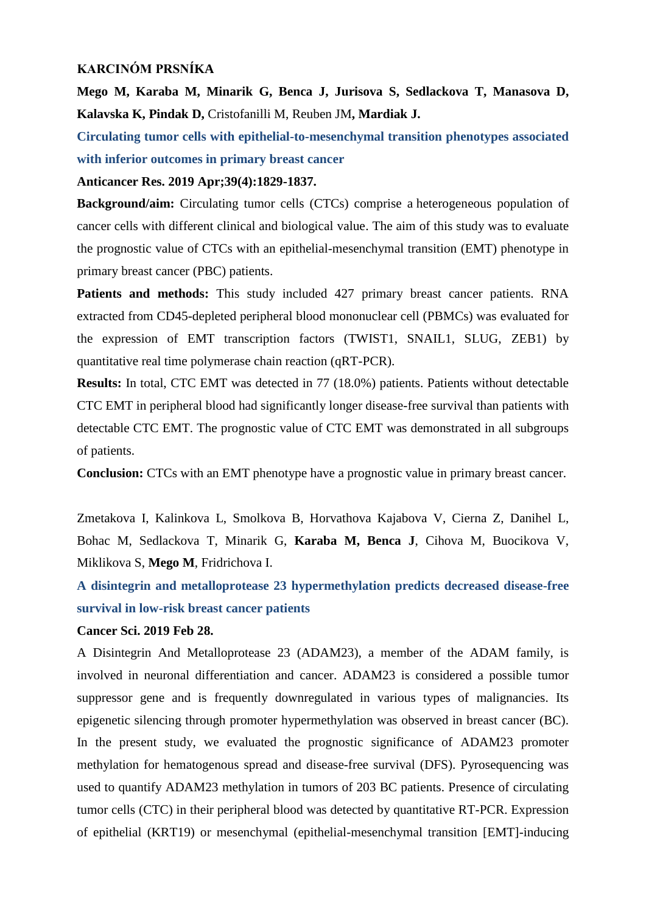## **KARCINÓM PRSNÍKA**

**Mego M, Karaba M, Minarik G, Benca J, Jurisova S, Sedlackova T, Manasova D, Kalavska K, Pindak D,** Cristofanilli M, Reuben JM**, Mardiak J.** 

**Circulating tumor cells with epithelial-to-mesenchymal transition phenotypes associated with inferior outcomes in primary breast cancer**

### **Anticancer Res. 2019 Apr;39(4):1829-1837.**

**Background/aim:** Circulating tumor cells (CTCs) comprise a heterogeneous population of cancer cells with different clinical and biological value. The aim of this study was to evaluate the prognostic value of CTCs with an epithelial-mesenchymal transition (EMT) phenotype in primary breast cancer (PBC) patients.

**Patients and methods:** This study included 427 primary breast cancer patients. RNA extracted from CD45-depleted peripheral blood mononuclear cell (PBMCs) was evaluated for the expression of EMT transcription factors (TWIST1, SNAIL1, SLUG, ZEB1) by quantitative real time polymerase chain reaction (qRT-PCR).

**Results:** In total, CTC EMT was detected in 77 (18.0%) patients. Patients without detectable CTC EMT in peripheral blood had significantly longer disease-free survival than patients with detectable CTC EMT. The prognostic value of CTC EMT was demonstrated in all subgroups of patients.

**Conclusion:** CTCs with an EMT phenotype have a prognostic value in primary breast cancer.

Zmetakova I, Kalinkova L, Smolkova B, Horvathova Kajabova V, Cierna Z, Danihel L, Bohac M, Sedlackova T, Minarik G, **Karaba M, Benca J**, Cihova M, Buocikova V, Miklikova S, **Mego M**, Fridrichova I.

**A disintegrin and metalloprotease 23 hypermethylation predicts decreased disease-free survival in low-risk breast cancer patients**

#### **Cancer Sci. 2019 Feb 28.**

A Disintegrin And Metalloprotease 23 (ADAM23), a member of the ADAM family, is involved in neuronal differentiation and cancer. ADAM23 is considered a possible tumor suppressor gene and is frequently downregulated in various types of malignancies. Its epigenetic silencing through promoter hypermethylation was observed in breast cancer (BC). In the present study, we evaluated the prognostic significance of ADAM23 promoter methylation for hematogenous spread and disease-free survival (DFS). Pyrosequencing was used to quantify ADAM23 methylation in tumors of 203 BC patients. Presence of circulating tumor cells (CTC) in their peripheral blood was detected by quantitative RT-PCR. Expression of epithelial (KRT19) or mesenchymal (epithelial-mesenchymal transition [EMT]-inducing